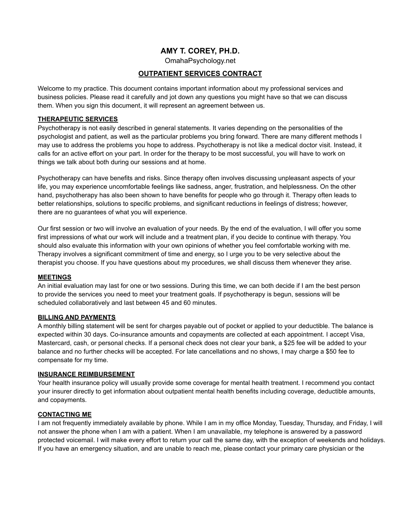# **AMY T. COREY, PH.D.**

OmahaPsychology.net

## **OUTPATIENT SERVICES CONTRACT**

Welcome to my practice. This document contains important information about my professional services and business policies. Please read it carefully and jot down any questions you might have so that we can discuss them. When you sign this document, it will represent an agreement between us.

## **THERAPEUTIC SERVICES**

Psychotherapy is not easily described in general statements. It varies depending on the personalities of the psychologist and patient, as well as the particular problems you bring forward. There are many different methods I may use to address the problems you hope to address. Psychotherapy is not like a medical doctor visit. Instead, it calls for an active effort on your part. In order for the therapy to be most successful, you will have to work on things we talk about both during our sessions and at home.

Psychotherapy can have benefits and risks. Since therapy often involves discussing unpleasant aspects of your life, you may experience uncomfortable feelings like sadness, anger, frustration, and helplessness. On the other hand, psychotherapy has also been shown to have benefits for people who go through it. Therapy often leads to better relationships, solutions to specific problems, and significant reductions in feelings of distress; however, there are no guarantees of what you will experience.

Our first session or two will involve an evaluation of your needs. By the end of the evaluation, I will offer you some first impressions of what our work will include and a treatment plan, if you decide to continue with therapy. You should also evaluate this information with your own opinions of whether you feel comfortable working with me. Therapy involves a significant commitment of time and energy, so I urge you to be very selective about the therapist you choose. If you have questions about my procedures, we shall discuss them whenever they arise.

#### **MEETINGS**

An initial evaluation may last for one or two sessions. During this time, we can both decide if I am the best person to provide the services you need to meet your treatment goals. If psychotherapy is begun, sessions will be scheduled collaboratively and last between 45 and 60 minutes.

#### **BILLING AND PAYMENTS**

A monthly billing statement will be sent for charges payable out of pocket or applied to your deductible. The balance is expected within 30 days. Co-insurance amounts and copayments are collected at each appointment. I accept Visa, Mastercard, cash, or personal checks. If a personal check does not clear your bank, a \$25 fee will be added to your balance and no further checks will be accepted. For late cancellations and no shows, I may charge a \$50 fee to compensate for my time.

#### **INSURANCE REIMBURSEMENT**

Your health insurance policy will usually provide some coverage for mental health treatment. I recommend you contact your insurer directly to get information about outpatient mental health benefits including coverage, deductible amounts, and copayments.

## **CONTACTING ME**

I am not frequently immediately available by phone. While I am in my office Monday, Tuesday, Thursday, and Friday, I will not answer the phone when I am with a patient. When I am unavailable, my telephone is answered by a password protected voicemail. I will make every effort to return your call the same day, with the exception of weekends and holidays. If you have an emergency situation, and are unable to reach me, please contact your primary care physician or the